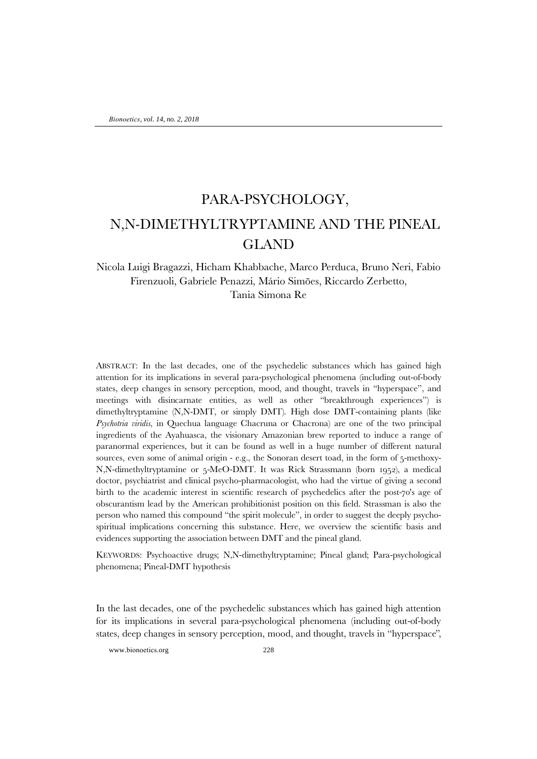## PARA-PSYCHOLOGY, N,N-DIMETHYLTRYPTAMINE AND THE PINEAL GLAND

## Nicola Luigi Bragazzi, Hicham Khabbache, Marco Perduca, Bruno Neri, Fabio Firenzuoli, Gabriele Penazzi, Mário Simões, Riccardo Zerbetto, Tania Simona Re

ABSTRACT: In the last decades, one of the psychedelic substances which has gained high attention for its implications in several para-psychological phenomena (including out-of-body states, deep changes in sensory perception, mood, and thought, travels in "hyperspace", and meetings with disincarnate entities, as well as other "breakthrough experiences") is dimethyltryptamine (N,N-DMT, or simply DMT). High dose DMT-containing plants (like *Psychotria viridis*, in Quechua language Chacruna or Chacrona) are one of the two principal ingredients of the Ayahuasca, the visionary Amazonian brew reported to induce a range of paranormal experiences, but it can be found as well in a huge number of different natural sources, even some of animal origin - e.g., the Sonoran desert toad, in the form of 5-methoxy-N,N-dimethyltryptamine or 5-MeO-DMT. It was Rick Strassmann (born 1952), a medical doctor, psychiatrist and clinical psycho-pharmacologist, who had the virtue of giving a second birth to the academic interest in scientific research of psychedelics after the post-70's age of obscurantism lead by the American prohibitionist position on this field. Strassman is also the person who named this compound "the spirit molecule", in order to suggest the deeply psychospiritual implications concerning this substance. Here, we overview the scientific basis and evidences supporting the association between DMT and the pineal gland.

KEYWORDS: Psychoactive drugs; N,N-dimethyltryptamine; Pineal gland; Para-psychological phenomena; Pineal-DMT hypothesis

In the last decades, one of the psychedelic substances which has gained high attention for its implications in several para-psychological phenomena (including out-of-body states, deep changes in sensory perception, mood, and thought, travels in "hyperspace",

www.bionoetics.org 228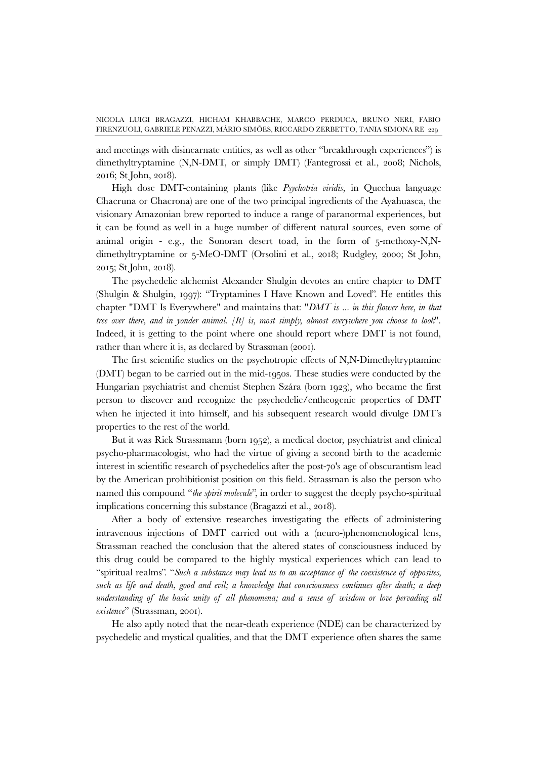and meetings with disincarnate entities, as well as other "breakthrough experiences") is dimethyltryptamine (N,N-DMT, or simply DMT) (Fantegrossi et al., 2008; Nichols, 2016; St John, 2018).

High dose DMT-containing plants (like *Psychotria viridis*, in Quechua language Chacruna or Chacrona) are one of the two principal ingredients of the Ayahuasca, the visionary Amazonian brew reported to induce a range of paranormal experiences, but it can be found as well in a huge number of different natural sources, even some of animal origin - e.g., the Sonoran desert toad, in the form of 5-methoxy-N,Ndimethyltryptamine or 5-MeO-DMT (Orsolini et al., 2018; Rudgley, 2000; St John, 2015; St John, 2018).

The psychedelic alchemist Alexander Shulgin devotes an entire chapter to DMT (Shulgin & Shulgin, 1997): "Tryptamines I Have Known and Loved". He entitles this chapter "DMT Is Everywhere" and maintains that: "*DMT is ... in this flower here, in that tree over there, and in yonder animal. [It] is, most simply, almost everywhere you choose to look*". Indeed, it is getting to the point where one should report where DMT is not found, rather than where it is, as declared by Strassman (2001).

The first scientific studies on the psychotropic effects of N,N-Dimethyltryptamine (DMT) began to be carried out in the mid-1950s. These studies were conducted by the Hungarian psychiatrist and chemist Stephen Szára (born 1923), who became the first person to discover and recognize the psychedelic/entheogenic properties of DMT when he injected it into himself, and his subsequent research would divulge DMT's properties to the rest of the world.

But it was Rick Strassmann (born 1952), a medical doctor, psychiatrist and clinical psycho-pharmacologist, who had the virtue of giving a second birth to the academic interest in scientific research of psychedelics after the post-70's age of obscurantism lead by the American prohibitionist position on this field. Strassman is also the person who named this compound "*the spirit molecule*", in order to suggest the deeply psycho-spiritual implications concerning this substance (Bragazzi et al., 2018).

After a body of extensive researches investigating the effects of administering intravenous injections of DMT carried out with a (neuro-)phenomenological lens, Strassman reached the conclusion that the altered states of consciousness induced by this drug could be compared to the highly mystical experiences which can lead to "spiritual realms". "*Such a substance may lead us to an acceptance of the coexistence of opposites, such as life and death, good and evil; a knowledge that consciousness continues after death; a deep understanding of the basic unity of all phenomena; and a sense of wisdom or love pervading all existence*" (Strassman, 2001).

He also aptly noted that the near-death experience (NDE) can be characterized by psychedelic and mystical qualities, and that the DMT experience often shares the same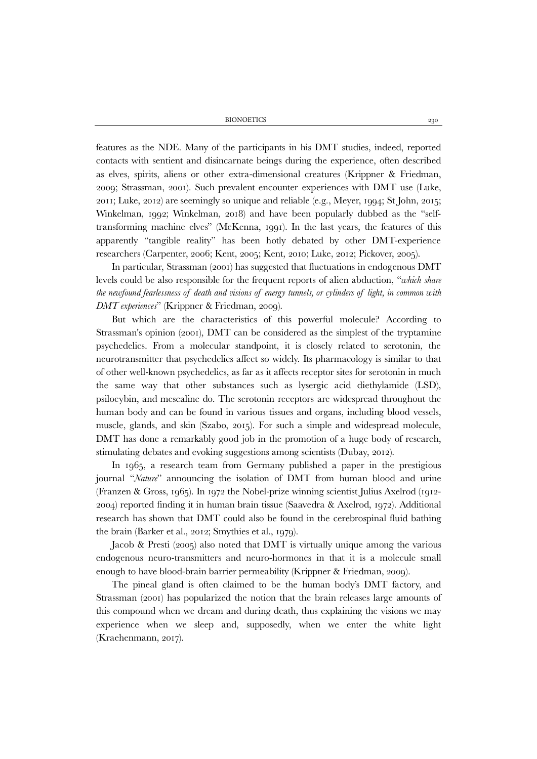BIONOETICS 230

features as the NDE. Many of the participants in his DMT studies, indeed, reported contacts with sentient and disincarnate beings during the experience, often described as elves, spirits, aliens or other extra-dimensional creatures (Krippner & Friedman, 2009; Strassman, 2001). Such prevalent encounter experiences with DMT use (Luke, 2011; Luke, 2012) are seemingly so unique and reliable (e.g., Meyer, 1994; St John, 2015; Winkelman, 1992; Winkelman, 2018) and have been popularly dubbed as the "selftransforming machine elves" (McKenna, 1991). In the last years, the features of this apparently "tangible reality" has been hotly debated by other DMT-experience researchers (Carpenter, 2006; Kent, 2005; Kent, 2010; Luke, 2012; Pickover, 2005).

In particular, Strassman (2001) has suggested that fluctuations in endogenous DMT levels could be also responsible for the frequent reports of alien abduction, "*which share the newfound fearlessness of death and visions of energy tunnels, or cylinders of light, in common with DMT experiences*" (Krippner & Friedman, 2009).

But which are the characteristics of this powerful molecule? According to Strassman's opinion (2001), DMT can be considered as the simplest of the tryptamine psychedelics. From a molecular standpoint, it is closely related to serotonin, the neurotransmitter that psychedelics affect so widely. Its pharmacology is similar to that of other well-known psychedelics, as far as it affects receptor sites for serotonin in much the same way that other substances such as lysergic acid diethylamide (LSD), psilocybin, and mescaline do. The serotonin receptors are widespread throughout the human body and can be found in various tissues and organs, including blood vessels, muscle, glands, and skin (Szabo, 2015). For such a simple and widespread molecule, DMT has done a remarkably good job in the promotion of a huge body of research, stimulating debates and evoking suggestions among scientists (Dubay, 2012).

In 1965, a research team from Germany published a paper in the prestigious journal "*Nature*" announcing the isolation of DMT from human blood and urine (Franzen & Gross, 1965). In 1972 the Nobel-prize winning scientist Julius Axelrod (1912- 2004) reported finding it in human brain tissue (Saavedra & Axelrod, 1972). Additional research has shown that DMT could also be found in the cerebrospinal fluid bathing the brain (Barker et al., 2012; Smythies et al., 1979).

Jacob & Presti (2005) also noted that DMT is virtually unique among the various endogenous neuro-transmitters and neuro-hormones in that it is a molecule small enough to have blood-brain barrier permeability (Krippner & Friedman, 2009).

The pineal gland is often claimed to be the human body's DMT factory, and Strassman (2001) has popularized the notion that the brain releases large amounts of this compound when we dream and during death, thus explaining the visions we may experience when we sleep and, supposedly, when we enter the white light (Kraehenmann, 2017).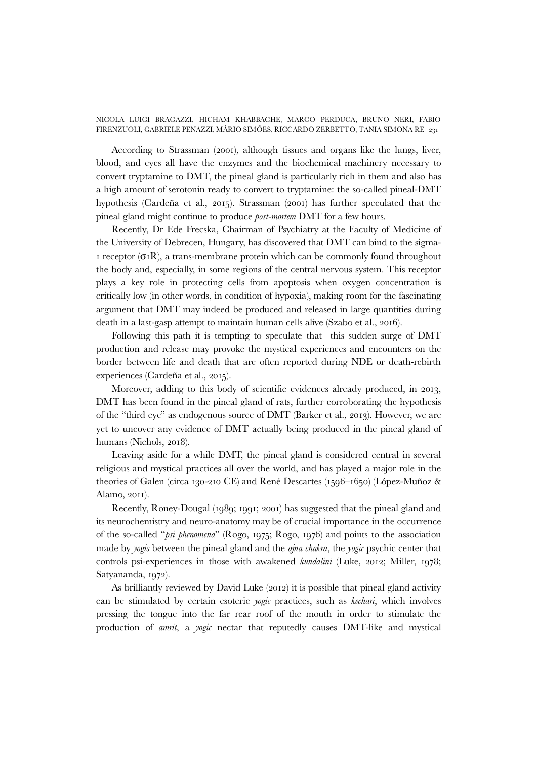According to Strassman (2001), although tissues and organs like the lungs, liver, blood, and eyes all have the enzymes and the biochemical machinery necessary to convert tryptamine to DMT, the pineal gland is particularly rich in them and also has a high amount of serotonin ready to convert to tryptamine: the so-called pineal-DMT hypothesis (Cardeña et al., 2015). Strassman (2001) has further speculated that the pineal gland might continue to produce *post-mortem* DMT for a few hours.

Recently, Dr Ede Frecska, Chairman of Psychiatry at the Faculty of Medicine of the University of Debrecen, Hungary, has discovered that DMT can bind to the sigma-1 receptor  $(\sigma_1R)$ , a trans-membrane protein which can be commonly found throughout the body and, especially, in some regions of the central nervous system. This receptor plays a key role in protecting cells from apoptosis when oxygen concentration is critically low (in other words, in condition of hypoxia), making room for the fascinating argument that DMT may indeed be produced and released in large quantities during death in a last-gasp attempt to maintain human cells alive (Szabo et al., 2016).

Following this path it is tempting to speculate that this sudden surge of DMT production and release may provoke the mystical experiences and encounters on the border between life and death that are often reported during NDE or death-rebirth experiences (Cardeña et al., 2015).

Moreover, adding to this body of scientific evidences already produced, in 2013, DMT has been found in the pineal gland of rats, further corroborating the hypothesis of the "third eye" as endogenous source of DMT (Barker et al., 2013). However, we are yet to uncover any evidence of DMT actually being produced in the pineal gland of humans (Nichols, 2018).

Leaving aside for a while DMT, the pineal gland is considered central in several religious and mystical practices all over the world, and has played a major role in the theories of Galen (circa 130-210 CE) and René Descartes (1596–1650) (López-Muñoz & Alamo, 2011).

Recently, Roney-Dougal (1989; 1991; 2001) has suggested that the pineal gland and its neurochemistry and neuro-anatomy may be of crucial importance in the occurrence of the so-called "*psi phenomena*" (Rogo, 1975; Rogo, 1976) and points to the association made by *yogis* between the pineal gland and the *ajna chakra*, the *yogic* psychic center that controls psi-experiences in those with awakened *kundalini* (Luke, 2012; Miller, 1978; Satyananda, 1972).

As brilliantly reviewed by David Luke (2012) it is possible that pineal gland activity can be stimulated by certain esoteric *yogic* practices, such as *kechari*, which involves pressing the tongue into the far rear roof of the mouth in order to stimulate the production of *amrit*, a *yogic* nectar that reputedly causes DMT-like and mystical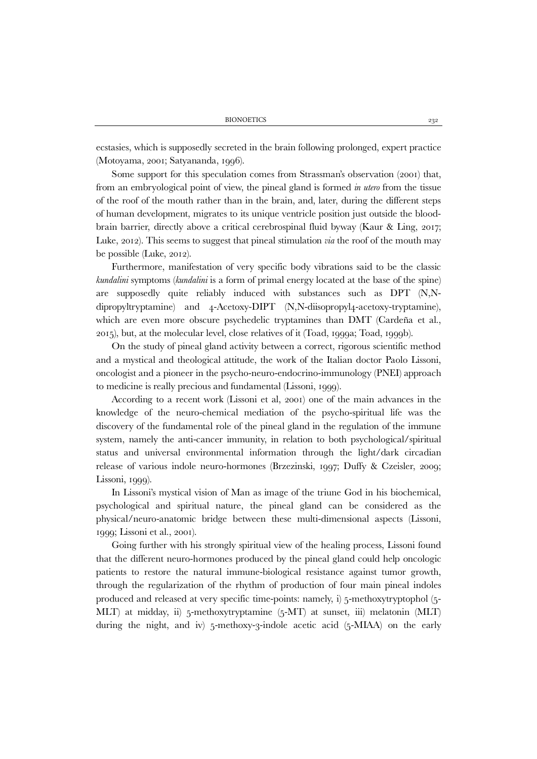ecstasies, which is supposedly secreted in the brain following prolonged, expert practice (Motoyama, 2001; Satyananda, 1996).

Some support for this speculation comes from Strassman's observation (2001) that, from an embryological point of view, the pineal gland is formed *in utero* from the tissue of the roof of the mouth rather than in the brain, and, later, during the different steps of human development, migrates to its unique ventricle position just outside the bloodbrain barrier, directly above a critical cerebrospinal fluid byway (Kaur & Ling, 2017; Luke, 2012). This seems to suggest that pineal stimulation *via* the roof of the mouth may be possible (Luke, 2012).

Furthermore, manifestation of very specific body vibrations said to be the classic *kundalini* symptoms (*kundalini* is a form of primal energy located at the base of the spine) are supposedly quite reliably induced with substances such as DPT (N,Ndipropyltryptamine) and 4-Acetoxy-DIPT (N,N-diisopropyl4-acetoxy-tryptamine), which are even more obscure psychedelic tryptamines than DMT (Cardeña et al., 2015), but, at the molecular level, close relatives of it (Toad, 1999a; Toad, 1999b).

On the study of pineal gland activity between a correct, rigorous scientific method and a mystical and theological attitude, the work of the Italian doctor Paolo Lissoni, oncologist and a pioneer in the psycho-neuro-endocrino-immunology (PNEI) approach to medicine is really precious and fundamental (Lissoni, 1999).

According to a recent work (Lissoni et al, 2001) one of the main advances in the knowledge of the neuro-chemical mediation of the psycho-spiritual life was the discovery of the fundamental role of the pineal gland in the regulation of the immune system, namely the anti-cancer immunity, in relation to both psychological/spiritual status and universal environmental information through the light/dark circadian release of various indole neuro-hormones (Brzezinski, 1997; Duffy & Czeisler, 2009; Lissoni, 1999).

In Lissoni's mystical vision of Man as image of the triune God in his biochemical, psychological and spiritual nature, the pineal gland can be considered as the physical/neuro-anatomic bridge between these multi-dimensional aspects (Lissoni, 1999; Lissoni et al., 2001).

Going further with his strongly spiritual view of the healing process, Lissoni found that the different neuro-hormones produced by the pineal gland could help oncologic patients to restore the natural immune-biological resistance against tumor growth, through the regularization of the rhythm of production of four main pineal indoles produced and released at very specific time-points: namely, i) 5-methoxytryptophol (5- MLT) at midday, ii) 5-methoxytryptamine (5-MT) at sunset, iii) melatonin (MLT) during the night, and iv) 5-methoxy-3-indole acetic acid (5-MIAA) on the early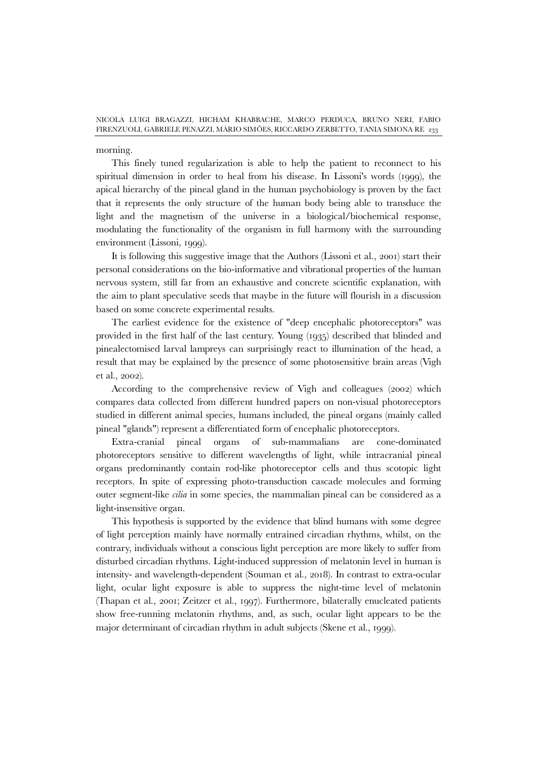morning.

This finely tuned regularization is able to help the patient to reconnect to his spiritual dimension in order to heal from his disease. In Lissoni's words (1999), the apical hierarchy of the pineal gland in the human psychobiology is proven by the fact that it represents the only structure of the human body being able to transduce the light and the magnetism of the universe in a biological/biochemical response, modulating the functionality of the organism in full harmony with the surrounding environment (Lissoni, 1999).

It is following this suggestive image that the Authors (Lissoni et al., 2001) start their personal considerations on the bio-informative and vibrational properties of the human nervous system, still far from an exhaustive and concrete scientific explanation, with the aim to plant speculative seeds that maybe in the future will flourish in a discussion based on some concrete experimental results.

The earliest evidence for the existence of "deep encephalic photoreceptors" was provided in the first half of the last century. Young (1935) described that blinded and pinealectomised larval lampreys can surprisingly react to illumination of the head, a result that may be explained by the presence of some photosensitive brain areas (Vigh et al., 2002).

According to the comprehensive review of Vigh and colleagues (2002) which compares data collected from different hundred papers on non-visual photoreceptors studied in different animal species, humans included, the pineal organs (mainly called pineal "glands") represent a differentiated form of encephalic photoreceptors.

Extra-cranial pineal organs of sub-mammalians are cone-dominated photoreceptors sensitive to different wavelengths of light, while intracranial pineal organs predominantly contain rod-like photoreceptor cells and thus scotopic light receptors. In spite of expressing photo-transduction cascade molecules and forming outer segment-like *cilia* in some species, the mammalian pineal can be considered as a light-insensitive organ.

This hypothesis is supported by the evidence that blind humans with some degree of light perception mainly have normally entrained circadian rhythms, whilst, on the contrary, individuals without a conscious light perception are more likely to suffer from disturbed circadian rhythms. Light-induced suppression of melatonin level in human is intensity- and wavelength-dependent (Souman et al., 2018). In contrast to extra-ocular light, ocular light exposure is able to suppress the night-time level of melatonin (Thapan et al., 2001; Zeitzer et al., 1997). Furthermore, bilaterally enucleated patients show free-running melatonin rhythms, and, as such, ocular light appears to be the major determinant of circadian rhythm in adult subjects (Skene et al., 1999).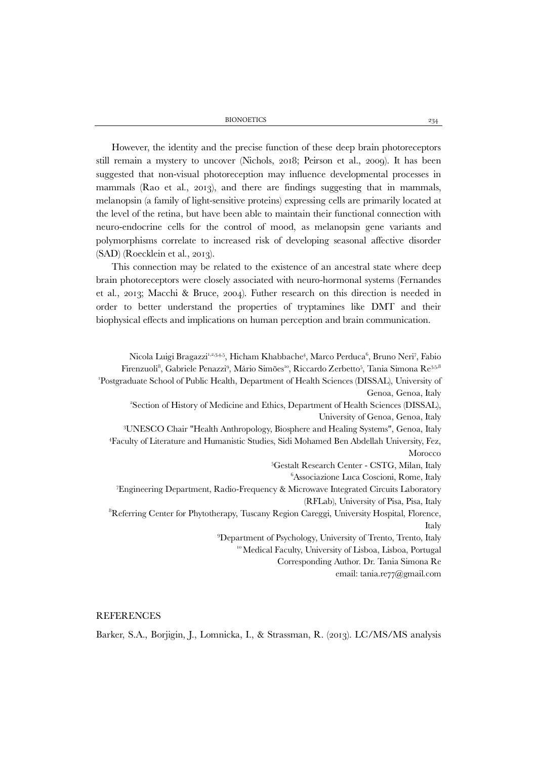BIONOETICS 234

However, the identity and the precise function of these deep brain photoreceptors still remain a mystery to uncover (Nichols, 2018; Peirson et al., 2009). It has been suggested that non-visual photoreception may influence developmental processes in mammals (Rao et al., 2013), and there are findings suggesting that in mammals, melanopsin (a family of light-sensitive proteins) expressing cells are primarily located at the level of the retina, but have been able to maintain their functional connection with neuro-endocrine cells for the control of mood, as melanopsin gene variants and polymorphisms correlate to increased risk of developing seasonal affective disorder (SAD) (Roecklein et al., 2013).

This connection may be related to the existence of an ancestral state where deep brain photoreceptors were closely associated with neuro-hormonal systems (Fernandes et al., 2013; Macchi & Bruce, 2004). Futher research on this direction is needed in order to better understand the properties of tryptamines like DMT and their biophysical effects and implications on human perception and brain communication.

Nicola Luigi Bragazzi<sup>1,2,3,4,5</sup>, Hicham Khabbache<sup>4</sup>, Marco Perduca<sup>6</sup>, Bruno Neri<sup>7</sup>, Fabio Firenzuoli<sup>8</sup>, Gabriele Penazzi<sup>9</sup>, Mário Simões'<sup>o</sup>, Riccardo Zerbetto<sup>5</sup>, Tania Simona Re<sup>3,5,8</sup> 1 Postgraduate School of Public Health, Department of Health Sciences (DISSAL), University of Genoa, Genoa, Italy 2 Section of History of Medicine and Ethics, Department of Health Sciences (DISSAL), University of Genoa, Genoa, Italy<br>3I INESCO Chair "Heelth Anthropelegy, Biograhera and Heeling Systems", Copea, Italy UNESCO Chair "Health Anthropology, Biosphere and Healing Systems", Genoa, Italy 4 Faculty of Literature and Humanistic Studies, Sidi Mohamed Ben Abdellah University, Fez, Morocco 5 Gestalt Research Center - CSTG, Milan, Italy <sup>6</sup>Associazione Luca Coscioni, Rome, Italy <sup>6</sup>Associazione Luca Coscioni, Rome, Italy<br>Engineering Department, Radio-Frequency & Microwave Integrated Circuits Laboratory (RFLab), University of Pisa, Pisa, Italy <sup>8</sup>Referring Center for Phytotherapy, Tuscany Region Careggi, University Hospital, Florence, Italy 9 Department of Psychology, University of Trento, Trento, Italy <sup>10</sup> Medical Faculty, University of Lisboa, Lisboa, Portugal Corresponding Author. Dr. Tania Simona Re email: tania.re77@gmail.com

## **REFERENCES**

Barker, S.A., Borjigin, J., Lomnicka, I., & Strassman, R. (2013). LC/MS/MS analysis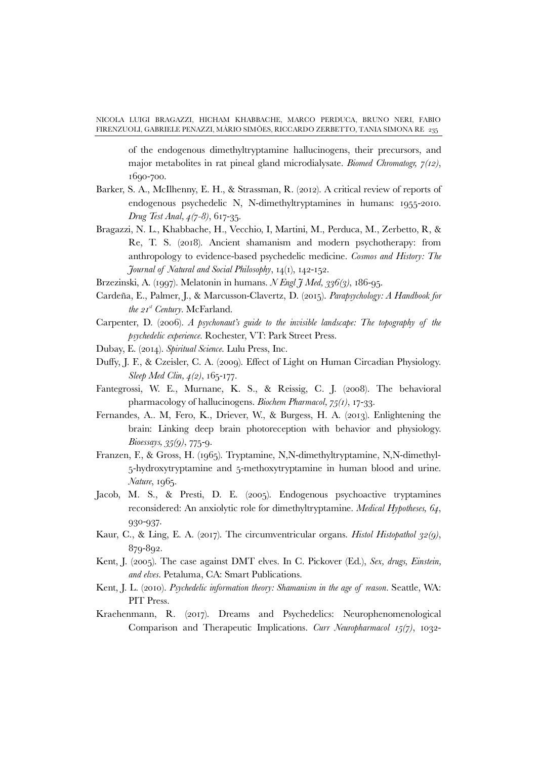of the endogenous dimethyltryptamine hallucinogens, their precursors, and major metabolites in rat pineal gland microdialysate. *Biomed Chromatogr, 7(12)*, 1690-700.

- Barker, S. A., McIlhenny, E. H., & Strassman, R. (2012). A critical review of reports of endogenous psychedelic N, N-dimethyltryptamines in humans: 1955-2010. *Drug Test Anal, 4(7-8)*, 617-35.
- Bragazzi, N. L., Khabbache, H., Vecchio, I, Martini, M., Perduca, M., Zerbetto, R, & Re, T. S. (2018). Ancient shamanism and modern psychotherapy: from anthropology to evidence-based psychedelic medicine. *Cosmos and History: The Journal of Natural and Social Philosophy*, 14(1), 142-152.
- Brzezinski, A. (1997). Melatonin in humans. *N Engl J Med, 336(3)*, 186-95.
- Cardeña, E., Palmer, J., & Marcusson-Clavertz, D. (2015). *Parapsychology: A Handbook for the 21st Century*. McFarland.
- Carpenter, D. (2006). *A psychonaut's guide to the invisible landscape: The topography of the psychedelic experience*. Rochester, VT: Park Street Press.
- Dubay, E. (2014). *Spiritual Science*. Lulu Press, Inc.
- Duffy, J. F., & Czeisler, C. A. (2009). Effect of Light on Human Circadian Physiology. *Sleep Med Clin, 4(2)*, 165-177.
- Fantegrossi, W. E., Murnane, K. S., & Reissig, C. J. (2008). The behavioral pharmacology of hallucinogens. *Biochem Pharmacol, 75(1)*, 17-33.
- Fernandes, A.. M, Fero, K., Driever, W., & Burgess, H. A. (2013). Enlightening the brain: Linking deep brain photoreception with behavior and physiology. *Bioessays, 35(9)*, 775-9.
- Franzen, F., & Gross, H. (1965). Tryptamine, N,N-dimethyltryptamine, N,N-dimethyl-5-hydroxytryptamine and 5-methoxytryptamine in human blood and urine. *Nature*, 1965.
- Jacob, M. S., & Presti, D. E. (2005). Endogenous psychoactive tryptamines reconsidered: An anxiolytic role for dimethyltryptamine. *Medical Hypotheses, 64*, 930-937.
- Kaur, C., & Ling, E. A. (2017). The circumventricular organs. *Histol Histopathol 32(9)*, 879-892.
- Kent, J. (2005). The case against DMT elves. In C. Pickover (Ed.), *Sex, drugs, Einstein, and elves*. Petaluma, CA: Smart Publications.
- Kent, J. L. (2010). *Psychedelic information theory: Shamanism in the age of reason*. Seattle, WA: PIT Press.
- Kraehenmann, R. (2017). Dreams and Psychedelics: Neurophenomenological Comparison and Therapeutic Implications. *Curr Neuropharmacol 15(7)*, 1032-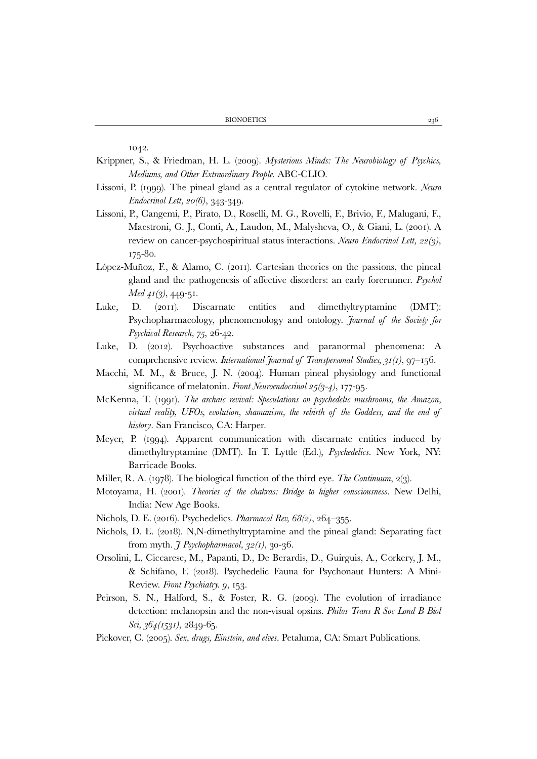1042.

- Krippner, S., & Friedman, H. L. (2009). *Mysterious Minds: The Neurobiology of Psychics, Mediums, and Other Extraordinary People*. ABC-CLIO.
- Lissoni, P. (1999). The pineal gland as a central regulator of cytokine network. *Neuro Endocrinol Lett, 20(6)*, 343-349.
- Lissoni, P., Cangemi, P., Pirato, D., Roselli, M. G., Rovelli, F., Brivio, F., Malugani, F., Maestroni, G. J., Conti, A., Laudon, M., Malysheva, O., & Giani, L. (2001). A review on cancer-psychospiritual status interactions. *Neuro Endocrinol Lett, 22(3)*, 175-80.
- López-Muñoz, F., & Alamo, C. (2011). Cartesian theories on the passions, the pineal gland and the pathogenesis of affective disorders: an early forerunner. *Psychol Med 41(3)*, 449-51.
- Luke, D. (2011). Discarnate entities and dimethyltryptamine (DMT): Psychopharmacology, phenomenology and ontology. *Journal of the Society for Psychical Research, 75*, 26-42.
- Luke, D. (2012). Psychoactive substances and paranormal phenomena: A comprehensive review. *International Journal of Transpersonal Studies, 31(1)*, 97–156.
- Macchi, M. M., & Bruce, J. N. (2004). Human pineal physiology and functional significance of melatonin. *Front Neuroendocrinol 25(3-4)*, 177-95.
- McKenna, T. (1991). *The archaic revival: Speculations on psychedelic mushrooms, the Amazon, virtual reality, UFOs, evolution, shamanism, the rebirth of the Goddess, and the end of history*. San Francisco, CA: Harper.
- Meyer, P. (1994). Apparent communication with discarnate entities induced by dimethyltryptamine (DMT). In T. Lyttle (Ed.), *Psychedelics*. New York, NY: Barricade Books.
- Miller, R. A. (1978). The biological function of the third eye. *The Continuum*, 2(3).
- Motoyama, H. (2001). *Theories of the chakras: Bridge to higher consciousness*. New Delhi, India: New Age Books.
- Nichols, D. E. (2016). Psychedelics. *Pharmacol Rev, 68(2)*, 264–355.
- Nichols, D. E. (2018). N,N-dimethyltryptamine and the pineal gland: Separating fact from myth. *J Psychopharmacol, 32(1)*, 30-36.
- Orsolini, L, Ciccarese, M., Papanti, D., De Berardis, D., Guirguis, A., Corkery, J. M., & Schifano, F. (2018). Psychedelic Fauna for Psychonaut Hunters: A Mini-Review. *Front Psychiatry. 9*, 153.
- Peirson, S. N., Halford, S., & Foster, R. G. (2009). The evolution of irradiance detection: melanopsin and the non-visual opsins. *Philos Trans R Soc Lond B Biol Sci, 364(1531)*, 2849-65.
- Pickover, C. (2005). *Sex, drugs, Einstein, and elves*. Petaluma, CA: Smart Publications.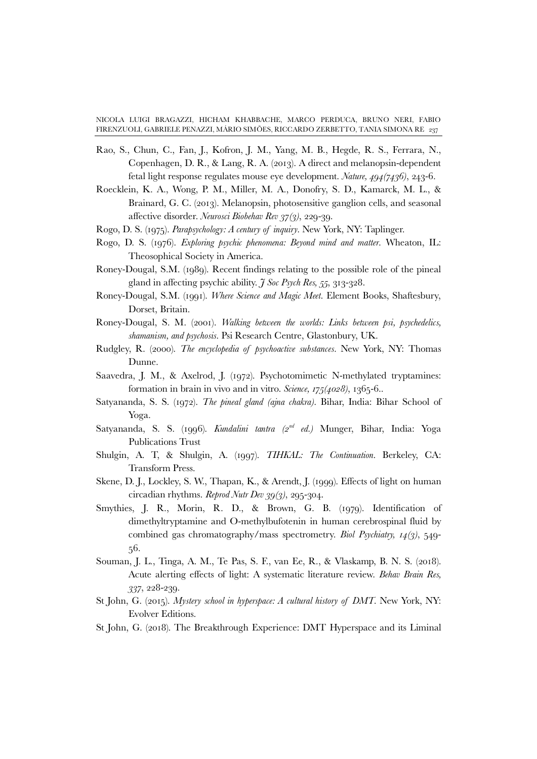- Rao, S., Chun, C., Fan, J., Kofron, J. M., Yang, M. B., Hegde, R. S., Ferrara, N., Copenhagen, D. R., & Lang, R. A. (2013). A direct and melanopsin-dependent fetal light response regulates mouse eye development. *Nature, 494(7436)*, 243-6.
- Roecklein, K. A., Wong, P. M., Miller, M. A., Donofry, S. D., Kamarck, M. L., & Brainard, G. C. (2013). Melanopsin, photosensitive ganglion cells, and seasonal affective disorder. *Neurosci Biobehav Rev 37(3)*, 229-39.
- Rogo, D. S. (1975). *Parapsychology: A century of inquiry*. New York, NY: Taplinger.
- Rogo, D. S. (1976). *Exploring psychic phenomena: Beyond mind and matter*. Wheaton, IL: Theosophical Society in America.
- Roney-Dougal, S.M. (1989). Recent findings relating to the possible role of the pineal gland in affecting psychic ability. *J Soc Psych Res, 55*, 313-328.
- Roney-Dougal, S.M. (1991). *Where Science and Magic Meet*. Element Books, Shaftesbury, Dorset, Britain.
- Roney-Dougal, S. M. (2001). *Walking between the worlds: Links between psi, psychedelics, shamanism, and psychosis*. Psi Research Centre, Glastonbury, UK.
- Rudgley, R. (2000). *The encyclopedia of psychoactive substances*. New York, NY: Thomas Dunne.
- Saavedra, J. M., & Axelrod, J. (1972). Psychotomimetic N-methylated tryptamines: formation in brain in vivo and in vitro. *Science, 175(4028)*, 1365-6..
- Satyananda, S. S. (1972). *The pineal gland (ajna chakra)*. Bihar, India: Bihar School of Yoga.
- Satyananda, S. S. (1996). *Kundalini tantra (2nd ed.)* Munger, Bihar, India: Yoga Publications Trust
- Shulgin, A. T, & Shulgin, A. (1997). *TIHKAL: The Continuation*. Berkeley, CA: Transform Press.
- Skene, D. J., Lockley, S. W., Thapan, K., & Arendt, J. (1999). Effects of light on human circadian rhythms. *Reprod Nutr Dev 39(3)*, 295-304.
- Smythies, J. R., Morin, R. D., & Brown, G. B. (1979). Identification of dimethyltryptamine and O-methylbufotenin in human cerebrospinal fluid by combined gas chromatography/mass spectrometry. *Biol Psychiatry, 14(3)*, 549- 56.
- Souman, J. L., Tinga, A. M., Te Pas, S. F., van Ee, R., & Vlaskamp, B. N. S. (2018). Acute alerting effects of light: A systematic literature review. *Behav Brain Res, 337*, 228-239.
- St John, G. (2015). *Mystery school in hyperspace: A cultural history of DMT*. New York, NY: Evolver Editions.
- St John, G. (2018). The Breakthrough Experience: DMT Hyperspace and its Liminal